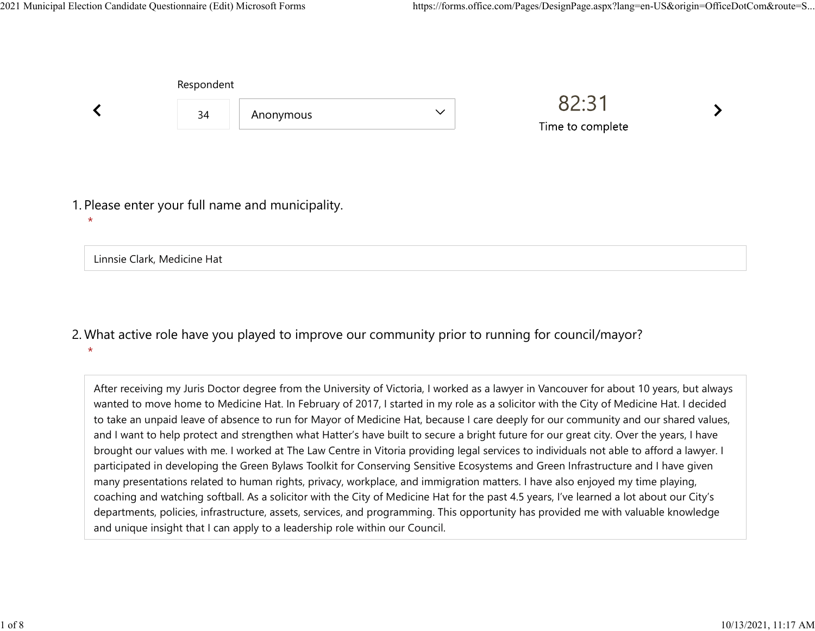|         | Respondent                  |                                                  |              |                           |  |
|---------|-----------------------------|--------------------------------------------------|--------------|---------------------------|--|
|         | 34                          | Anonymous                                        | $\checkmark$ | 82:31<br>Time to complete |  |
| $\star$ |                             | 1. Please enter your full name and municipality. |              |                           |  |
|         | Linnsie Clark, Medicine Hat |                                                  |              |                           |  |

What active role have you played to improve our community prior to running for council/mayor? 2.  $\star$ 

After receiving my Juris Doctor degree from the University of Victoria, I worked as a lawyer in Vancouver for about 10 years, but always wanted to move home to Medicine Hat. In February of 2017, I started in my role as a solicitor with the City of Medicine Hat. I decided to take an unpaid leave of absence to run for Mayor of Medicine Hat, because I care deeply for our community and our shared values, and I want to help protect and strengthen what Hatter's have built to secure a bright future for our great city. Over the years, I have brought our values with me. I worked at The Law Centre in Vitoria providing legal services to individuals not able to afford a lawyer. I participated in developing the Green Bylaws Toolkit for Conserving Sensitive Ecosystems and Green Infrastructure and I have given many presentations related to human rights, privacy, workplace, and immigration matters. I have also enjoyed my time playing, coaching and watching softball. As a solicitor with the City of Medicine Hat for the past 4.5 years, I've learned a lot about our City's departments, policies, infrastructure, assets, services, and programming. This opportunity has provided me with valuable knowledge and unique insight that I can apply to a leadership role within our Council.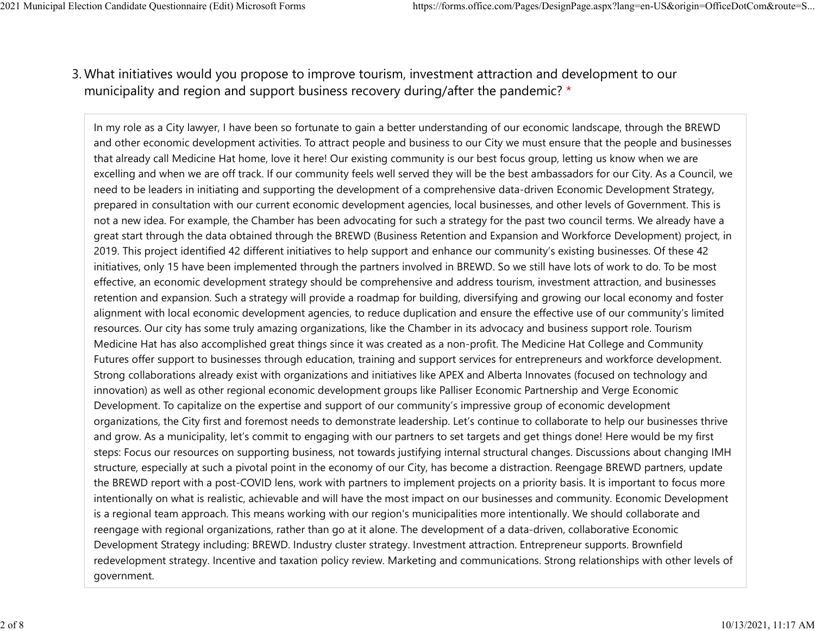## What initiatives would you propose to improve tourism, investment attraction and development to our 3. municipality and region and support business recovery during/after the pandemic? \* 2021 Municipal Election Candidate Questionnaire (Edit) Microsoft Forms https://forms.office.com/Pages/DesignPage.aspx?lang=en-US&origin=OfficeDotCom&route=S...<br>2 Mhat initiatives would you propose to improve tourism invest

In my role as a City lawyer, I have been so fortunate to gain a better understanding of our economic landscape, through the BREWD and other economic development activities. To attract people and business to our City we must ensure that the people and businesses that already call Medicine Hat home, love it here! Our existing community is our best focus group, letting us know when we are excelling and when we are off track. If our community feels well served they will be the best ambassadors for our City. As a Council, we need to be leaders in initiating and supporting the development of a comprehensive data-driven Economic Development Strategy, prepared in consultation with our current economic development agencies, local businesses, and other levels of Government. This is not a new idea. For example, the Chamber has been advocating for such a strategy for the past two council terms. We already have a great start through the data obtained through the BREWD (Business Retention and Expansion and Workforce Development) project, in 2019. This project identified 42 different initiatives to help support and enhance our community's existing businesses. Of these 42 initiatives, only 15 have been implemented through the partners involved in BREWD. So we still have lots of work to do. To be most effective, an economic development strategy should be comprehensive and address tourism, investment attraction, and businesses retention and expansion. Such a strategy will provide a roadmap for building, diversifying and growing our local economy and foster alignment with local economic development agencies, to reduce duplication and ensure the effective use of our community's limited resources. Our city has some truly amazing organizations, like the Chamber in its advocacy and business support role. Tourism Medicine Hat has also accomplished great things since it was created as a non-profit. The Medicine Hat College and Community Futures offer support to businesses through education, training and support services for entrepreneurs and workforce development. Strong collaborations already exist with organizations and initiatives like APEX and Alberta Innovates (focused on technology and innovation) as well as other regional economic development groups like Palliser Economic Partnership and Verge Economic Development. To capitalize on the expertise and support of our community's impressive group of economic development organizations, the City first and foremost needs to demonstrate leadership. Let's continue to collaborate to help our businesses thrive and grow. As a municipality, let's commit to engaging with our partners to set targets and get things done! Here would be my first steps: Focus our resources on supporting business, not towards justifying internal structural changes. Discussions about changing IMH structure, especially at such a pivotal point in the economy of our City, has become a distraction. Reengage BREWD partners, update the BREWD report with a post-COVID lens, work with partners to implement projects on a priority basis. It is important to focus more intentionally on what is realistic, achievable and will have the most impact on our businesses and community. Economic Development is a regional team approach. This means working with our region's municipalities more intentionally. We should collaborate and reengage with regional organizations, rather than go at it alone. The development of a data-driven, collaborative Economic Development Strategy including: BREWD. Industry cluster strategy. Investment attraction. Entrepreneur supports. Brownfield redevelopment strategy. Incentive and taxation policy review. Marketing and communications. Strong relationships with other levels of government.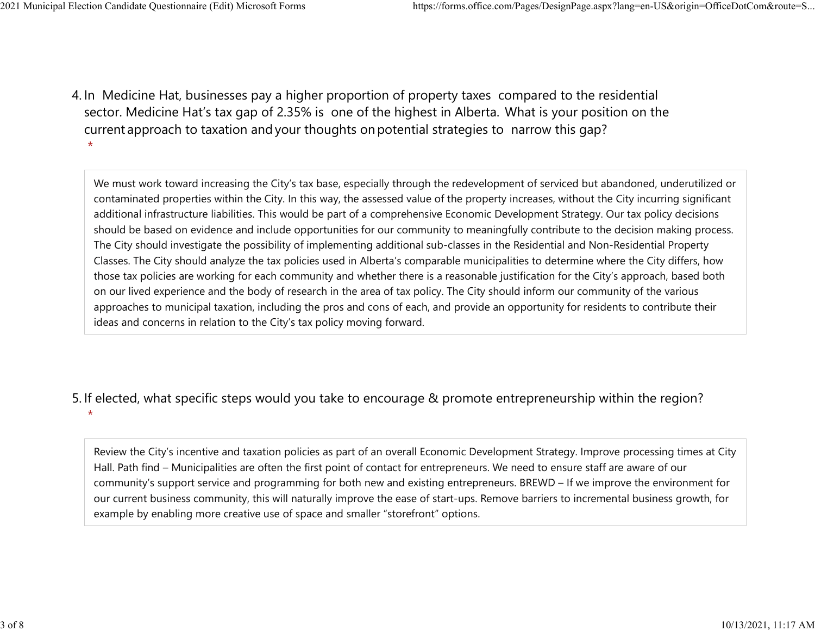4. In Medicine Hat, businesses pay a higher proportion of property taxes compared to the residential sector.  Medicine Hat's tax gap of 2.35% is one of the highest in Alberta.  What is your position on the current approach to taxation and your thoughts on potential strategies to narrow this gap?  $\star$ 

We must work toward increasing the City's tax base, especially through the redevelopment of serviced but abandoned, underutilized or contaminated properties within the City. In this way, the assessed value of the property increases, without the City incurring significant additional infrastructure liabilities. This would be part of a comprehensive Economic Development Strategy. Our tax policy decisions should be based on evidence and include opportunities for our community to meaningfully contribute to the decision making process. The City should investigate the possibility of implementing additional sub-classes in the Residential and Non-Residential Property Classes. The City should analyze the tax policies used in Alberta's comparable municipalities to determine where the City differs, how those tax policies are working for each community and whether there is a reasonable justification for the City's approach, based both on our lived experience and the body of research in the area of tax policy. The City should inform our community of the various approaches to municipal taxation, including the pros and cons of each, and provide an opportunity for residents to contribute their ideas and concerns in relation to the City's tax policy moving forward.

## 5. If elected, what specific steps would you take to encourage & promote entrepreneurship within the region?

 $\star$ 

Review the City's incentive and taxation policies as part of an overall Economic Development Strategy. Improve processing times at City Hall. Path find – Municipalities are often the first point of contact for entrepreneurs. We need to ensure staff are aware of our community's support service and programming for both new and existing entrepreneurs. BREWD – If we improve the environment for our current business community, this will naturally improve the ease of start-ups. Remove barriers to incremental business growth, for example by enabling more creative use of space and smaller "storefront" options.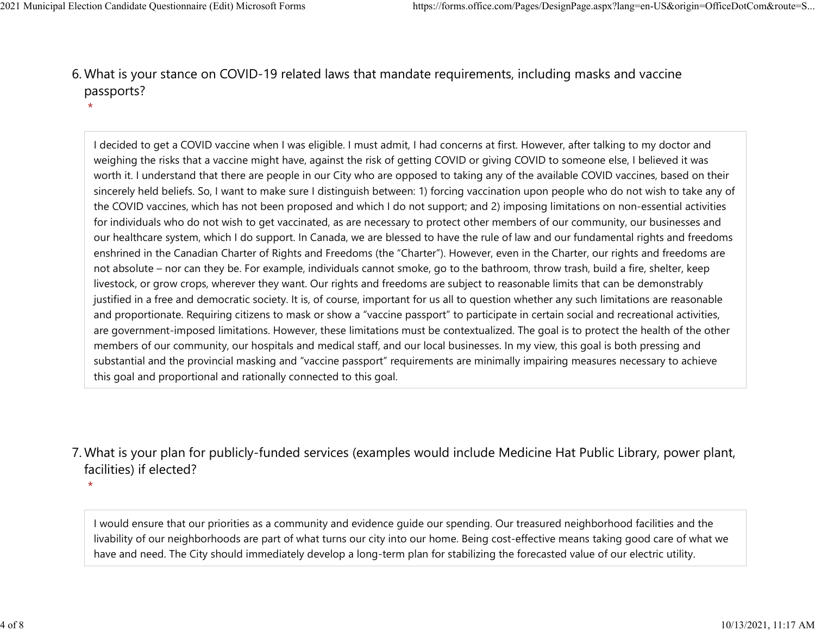$\star$ 

What is your stance on COVID-19 related laws that mandate requirements, including masks and vaccine 6. passports? 2021 Municipal Election Candidate Questionnaire (Edit) Microsoft Forms https://forms.office.com/Pages/DesignPage.aspx?lang=en-US&origin=OfficeDotCom&route=S...<br>6 Mhat is vour stance on COVID-19 related laws that mandate re

> I decided to get a COVID vaccine when I was eligible. I must admit, I had concerns at first. However, after talking to my doctor and weighing the risks that a vaccine might have, against the risk of getting COVID or giving COVID to someone else, I believed it was worth it. I understand that there are people in our City who are opposed to taking any of the available COVID vaccines, based on their sincerely held beliefs. So, I want to make sure I distinguish between: 1) forcing vaccination upon people who do not wish to take any of the COVID vaccines, which has not been proposed and which I do not support; and 2) imposing limitations on non-essential activities for individuals who do not wish to get vaccinated, as are necessary to protect other members of our community, our businesses and our healthcare system, which I do support. In Canada, we are blessed to have the rule of law and our fundamental rights and freedoms enshrined in the Canadian Charter of Rights and Freedoms (the "Charter"). However, even in the Charter, our rights and freedoms are not absolute – nor can they be. For example, individuals cannot smoke, go to the bathroom, throw trash, build a fire, shelter, keep livestock, or grow crops, wherever they want. Our rights and freedoms are subject to reasonable limits that can be demonstrably justified in a free and democratic society. It is, of course, important for us all to question whether any such limitations are reasonable and proportionate. Requiring citizens to mask or show a "vaccine passport" to participate in certain social and recreational activities, are government-imposed limitations. However, these limitations must be contextualized. The goal is to protect the health of the other members of our community, our hospitals and medical staff, and our local businesses. In my view, this goal is both pressing and substantial and the provincial masking and "vaccine passport" requirements are minimally impairing measures necessary to achieve this goal and proportional and rationally connected to this goal.

## What is your plan for publicly-funded services (examples would include Medicine Hat Public Library, power plant, 7. facilities) if elected?

 $\star$ 

I would ensure that our priorities as a community and evidence guide our spending. Our treasured neighborhood facilities and the livability of our neighborhoods are part of what turns our city into our home. Being cost-effective means taking good care of what we have and need. The City should immediately develop a long-term plan for stabilizing the forecasted value of our electric utility.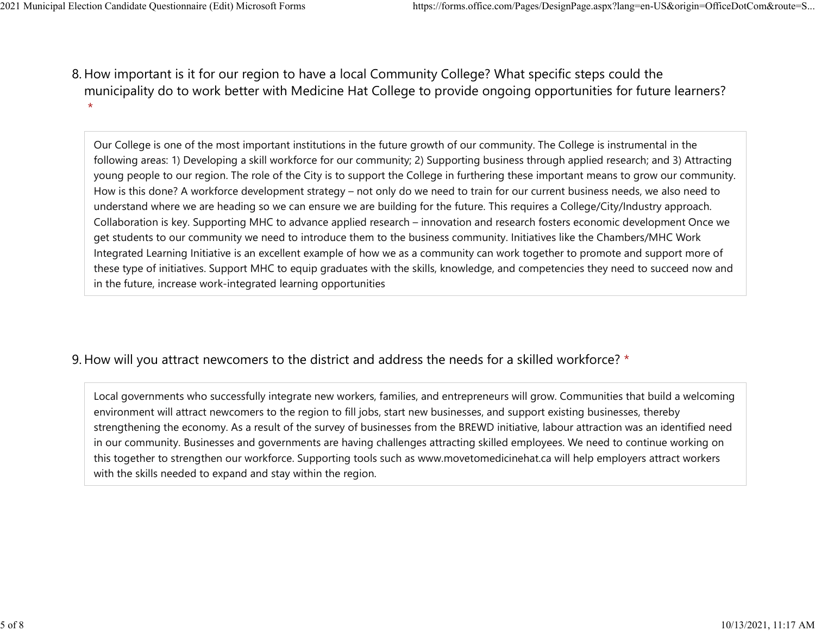8. How important is it for our region to have a local Community College? What specific steps could the municipality do to work better with Medicine Hat College to provide ongoing opportunities for future learners?  $\star$ 2021 Municipal Election Candidate Questionnaire (Edit) Microsoft Forms https://forms.office.com/Pages/DesignPage.aspx?lang=en-US&origin=OfficeDotCom&route=S...<br>8 How important is it for our region to baye a local Community

> Our College is one of the most important institutions in the future growth of our community. The College is instrumental in the following areas: 1) Developing a skill workforce for our community; 2) Supporting business through applied research; and 3) Attracting young people to our region. The role of the City is to support the College in furthering these important means to grow our community. How is this done? A workforce development strategy – not only do we need to train for our current business needs, we also need to understand where we are heading so we can ensure we are building for the future. This requires a College/City/Industry approach. Collaboration is key. Supporting MHC to advance applied research – innovation and research fosters economic development Once we get students to our community we need to introduce them to the business community. Initiatives like the Chambers/MHC Work Integrated Learning Initiative is an excellent example of how we as a community can work together to promote and support more of these type of initiatives. Support MHC to equip graduates with the skills, knowledge, and competencies they need to succeed now and in the future, increase work-integrated learning opportunities

## 9. How will you attract newcomers to the district and address the needs for a skilled workforce? \*

Local governments who successfully integrate new workers, families, and entrepreneurs will grow. Communities that build a welcoming environment will attract newcomers to the region to fill jobs, start new businesses, and support existing businesses, thereby strengthening the economy. As a result of the survey of businesses from the BREWD initiative, labour attraction was an identified need in our community. Businesses and governments are having challenges attracting skilled employees. We need to continue working on this together to strengthen our workforce. Supporting tools such as www.movetomedicinehat.ca will help employers attract workers with the skills needed to expand and stay within the region.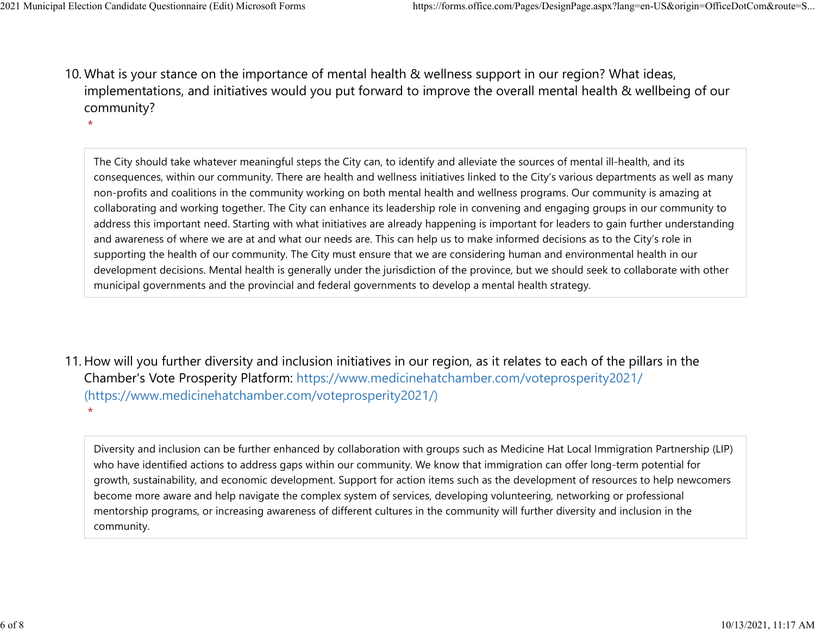$\star$ 

10. What is your stance on the importance of mental health & wellness support in our region? What ideas, implementations, and initiatives would you put forward to improve the overall mental health & wellbeing of our community? 2021 Municipal Election Candidate Questionnaire (Edit) Microsoft Forms https://forms.office.com/Pages/DesignPage.aspx?lang=en-US&origin=OfficeDotCom&route=S...<br>10 What is vour stance on the importance of mental bealth & we

The City should take whatever meaningful steps the City can, to identify and alleviate the sources of mental ill-health, and its consequences, within our community. There are health and wellness initiatives linked to the City's various departments as well as many non-profits and coalitions in the community working on both mental health and wellness programs. Our community is amazing at collaborating and working together. The City can enhance its leadership role in convening and engaging groups in our community to address this important need. Starting with what initiatives are already happening is important for leaders to gain further understanding and awareness of where we are at and what our needs are. This can help us to make informed decisions as to the City's role in supporting the health of our community. The City must ensure that we are considering human and environmental health in our development decisions. Mental health is generally under the jurisdiction of the province, but we should seek to collaborate with other municipal governments and the provincial and federal governments to develop a mental health strategy.

11. How will you further diversity and inclusion initiatives in our region, as it relates to each of the pillars in the Chamber's Vote Prosperity Platform: https://www.medicinehatchamber.com/voteprosperity2021/ (https://www.medicinehatchamber.com/voteprosperity2021/)  $\star$ 

Diversity and inclusion can be further enhanced by collaboration with groups such as Medicine Hat Local Immigration Partnership (LIP) who have identified actions to address gaps within our community. We know that immigration can offer long-term potential for growth, sustainability, and economic development. Support for action items such as the development of resources to help newcomers become more aware and help navigate the complex system of services, developing volunteering, networking or professional mentorship programs, or increasing awareness of different cultures in the community will further diversity and inclusion in the community.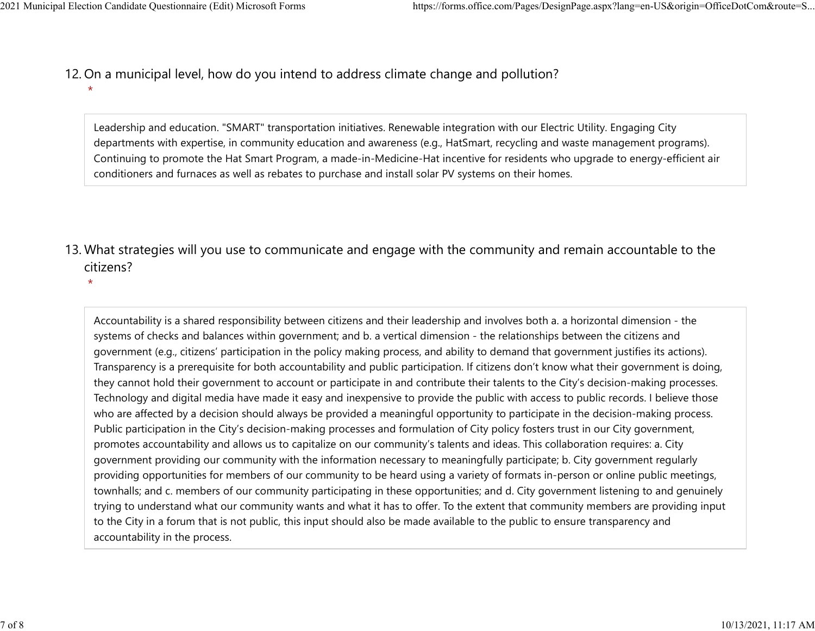- 12. On a municipal level, how do you intend to address climate change and pollution? 2021 Municipal Election Candidate Questionnaire (Edit) Microsoft Forms https://forms.office.com/Pages/DesignPage.aspx?lang=en-US&origin=OfficeDotCom&route=S...<br>12 On a municipal level how do you intend to address climate c
	- $\star$

Leadership and education. "SMART" transportation initiatives. Renewable integration with our Electric Utility. Engaging City departments with expertise, in community education and awareness (e.g., HatSmart, recycling and waste management programs). Continuing to promote the Hat Smart Program, a made-in-Medicine-Hat incentive for residents who upgrade to energy-efficient air conditioners and furnaces as well as rebates to purchase and install solar PV systems on their homes.

- 13. What strategies will you use to communicate and engage with the community and remain accountable to the citizens?
	- $\star$

Accountability is a shared responsibility between citizens and their leadership and involves both a. a horizontal dimension - the systems of checks and balances within government; and b. a vertical dimension - the relationships between the citizens and government (e.g., citizens' participation in the policy making process, and ability to demand that government justifies its actions). Transparency is a prerequisite for both accountability and public participation. If citizens don't know what their government is doing, they cannot hold their government to account or participate in and contribute their talents to the City's decision-making processes. Technology and digital media have made it easy and inexpensive to provide the public with access to public records. I believe those who are affected by a decision should always be provided a meaningful opportunity to participate in the decision-making process. Public participation in the City's decision-making processes and formulation of City policy fosters trust in our City government, promotes accountability and allows us to capitalize on our community's talents and ideas. This collaboration requires: a. City government providing our community with the information necessary to meaningfully participate; b. City government regularly providing opportunities for members of our community to be heard using a variety of formats in-person or online public meetings, townhalls; and c. members of our community participating in these opportunities; and d. City government listening to and genuinely trying to understand what our community wants and what it has to offer. To the extent that community members are providing input to the City in a forum that is not public, this input should also be made available to the public to ensure transparency and accountability in the process.